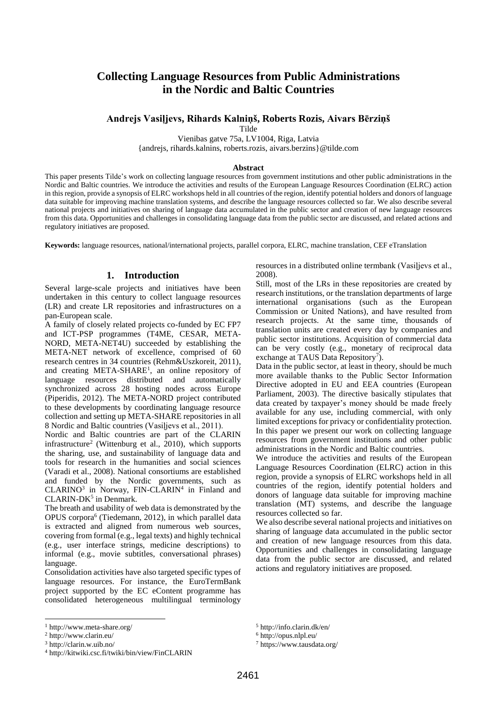# **Collecting Language Resources from Public Administrations in the Nordic and Baltic Countries**

#### **Andrejs Vasiļjevs, Rihards Kalniņš, Roberts Rozis, Aivars Bērziņš**

Tilde

Vienibas gatve 75a, LV1004, Riga, Latvia {andrejs, rihards.kalnins, roberts.rozis, aivars.berzins}@tilde.com

#### **Abstract**

This paper presents Tilde's work on collecting language resources from government institutions and other public administrations in the Nordic and Baltic countries. We introduce the activities and results of the European Language Resources Coordination (ELRC) action in this region, provide a synopsis of ELRC workshops held in all countries of the region, identify potential holders and donors of language data suitable for improving machine translation systems, and describe the language resources collected so far. We also describe several national projects and initiatives on sharing of language data accumulated in the public sector and creation of new language resources from this data. Opportunities and challenges in consolidating language data from the public sector are discussed, and related actions and regulatory initiatives are proposed.

**Keywords:** language resources, national/international projects, parallel corpora, ELRC, machine translation, CEF eTranslation

## **1. Introduction**

Several large-scale projects and initiatives have been undertaken in this century to collect language resources (LR) and create LR repositories and infrastructures on a pan-European scale.

A family of closely related projects co-funded by EC FP7 and ICT-PSP programmes (T4ME, CESAR, META-NORD, META-NET4U) succeeded by establishing the META-NET network of excellence, comprised of 60 research centres in 34 countries (Rehm&Uszkoreit, 2011), and creating META-SHARE<sup>1</sup>, an online repository of language resources distributed and automatically synchronized across 28 hosting nodes across Europe (Piperidis, 2012). The META-NORD project contributed to these developments by coordinating language resource collection and setting up META-SHARE repositories in all 8 Nordic and Baltic countries (Vasilievs et al., 2011).

Nordic and Baltic countries are part of the CLARIN infrastructure<sup>2</sup> (Wittenburg et al., 2010), which supports the sharing, use, and sustainability of language data and tools for research in the humanities and social sciences (Varadi et al., 2008). National consortiums are established and funded by the Nordic governments, such as  $CLARINO<sup>3</sup>$  in Norway, FIN-CLARIN<sup>4</sup> in Finland and  $CLARIN-DK<sup>5</sup>$  in Denmark.

The breath and usability of web data is demonstrated by the OPUS corpora<sup>6</sup> (Tiedemann, 2012), in which parallel data is extracted and aligned from numerous web sources, covering from formal (e.g., legal texts) and highly technical (e.g., user interface strings, medicine descriptions) to informal (e.g., movie subtitles, conversational phrases) language.

Consolidation activities have also targeted specific types of language resources. For instance, the EuroTermBank project supported by the EC eContent programme has consolidated heterogeneous multilingual terminology

l

resources in a distributed online termbank (Vasiļjevs et al., 2008).

Still, most of the LRs in these repositories are created by research institutions, or the translation departments of large international organisations (such as the European Commission or United Nations), and have resulted from research projects. At the same time, thousands of translation units are created every day by companies and public sector institutions. Acquisition of commercial data can be very costly (e.g., monetary of reciprocal data exchange at TAUS Data Repository<sup>7</sup>).

Data in the public sector, at least in theory, should be much more available thanks to the Public Sector Information Directive adopted in EU and EEA countries (European Parliament, 2003). The directive basically stipulates that data created by taxpayer's money should be made freely available for any use, including commercial, with only limited exceptions for privacy or confidentiality protection. In this paper we present our work on collecting language resources from government institutions and other public administrations in the Nordic and Baltic countries.

We introduce the activities and results of the European Language Resources Coordination (ELRC) action in this region, provide a synopsis of ELRC workshops held in all countries of the region, identify potential holders and donors of language data suitable for improving machine translation (MT) systems, and describe the language resources collected so far.

We also describe several national projects and initiatives on sharing of language data accumulated in the public sector and creation of new language resources from this data. Opportunities and challenges in consolidating language data from the public sector are discussed, and related actions and regulatory initiatives are proposed.

<sup>1</sup> http://www.meta-share.org/

<sup>2</sup> http://www.clarin.eu/

<sup>3</sup> http://clarin.w.uib.no/

<sup>4</sup> http://kitwiki.csc.fi/twiki/bin/view/FinCLARIN

<sup>5</sup> http://info.clarin.dk/en/

<sup>6</sup> http://opus.nlpl.eu/

<sup>7</sup> https://www.tausdata.org/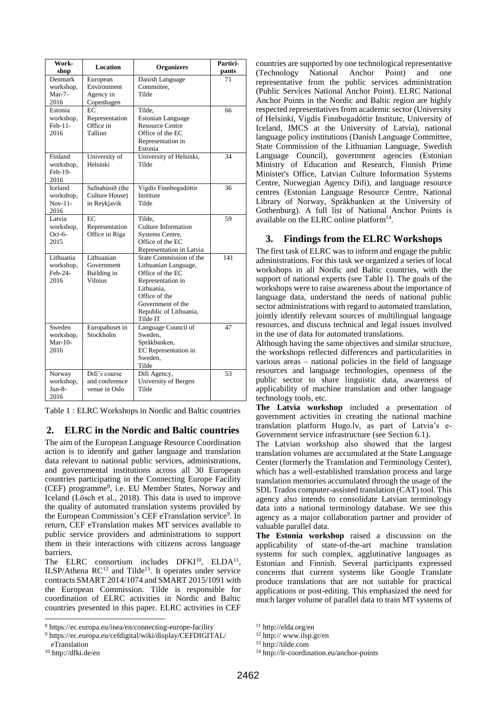| Work-<br>shop                                   | Location                                           | <b>Organizers</b>                                                                                                                                                                  | Partici-<br>pants |
|-------------------------------------------------|----------------------------------------------------|------------------------------------------------------------------------------------------------------------------------------------------------------------------------------------|-------------------|
| <b>Denmark</b><br>workshop,<br>$Mar-7-$<br>2016 | European<br>Environment<br>Agency in<br>Copenhagen | Danish Language<br>Committee,<br>Tilde                                                                                                                                             | 71                |
| Estonia<br>workshop,<br>Feb-11-<br>2016         | EC<br>Representation<br>Office in<br>Tallinn       | Tilde,<br><b>Estonian Language</b><br><b>Resource Centre</b><br>Office of the EC<br>Representation in<br>Estonia                                                                   | 66                |
| Finland<br>workshop,<br>Feb-19-<br>2016         | University of<br>Helsinki                          | University of Helsinki,<br>Tilde                                                                                                                                                   | 34                |
| Iceland<br>workshop,<br>$Nov-11-$<br>2016       | Safnahúsið (the<br>Culture House)<br>in Reykjavik  | Vigdís Finnbogadóttir<br>Institute<br>Tilde                                                                                                                                        | 36                |
| Latvia<br>workshop,<br>Oct-6-<br>2015           | EC<br>Representation<br>Office in Riga             | Tilde.<br>Culture Information<br><b>Systems Centre,</b><br>Office of the EC<br>Representation in Latvia                                                                            | 59                |
| Lithuania<br>workshop,<br>Feb-24-<br>2016       | Lithuanian<br>Government<br>Building in<br>Vilnius | State Commission of the<br>Lithuanian Language,<br>Office of the EC<br>Representation in<br>Lithuania.<br>Office of the<br>Government of the<br>Republic of Lithuania,<br>Tilde IT | 141               |
| Sweden<br>workshop,<br>$Mar-10-$<br>2016        | Europahuset in<br>Stockholm                        | Language Council of<br>Sweden,<br>Språkbanken,<br>EC Representation in<br>Sweden.<br>Tilde                                                                                         | 47                |
| Norway<br>workshop,<br>Jun-8-<br>2016           | Difi's course<br>and conference<br>venue in Oslo   | Difi Agency,<br>University of Bergen<br>Tilde                                                                                                                                      | 53                |

Table 1 : ELRC Workshops in Nordic and Baltic countries

# **2. ELRC in the Nordic and Baltic countries**

The aim of the European Language Resource Coordination action is to identify and gather language and translation data relevant to national public services, administrations, and governmental institutions across all 30 European countries participating in the Connecting Europe Facility (CEF) programme<sup>8</sup> , i.e. EU Member States, Norway and Iceland (Lösch et al., 2018). This data is used to improve the quality of automated translation systems provided by the European Commission's CEF eTranslation service<sup>9</sup>. In return, CEF eTranslation makes MT services available to public service providers and administrations to support them in their interactions with citizens across language barriers.

The ELRC consortium includes  $DFKI<sup>10</sup>$ , ELDA<sup>11</sup>, ILSP/Athena  $RC^{12}$  and Tilde<sup>13</sup>. It operates under service contracts SMART 2014/1074 and SMART 2015/1091 with the European Commission. Tilde is responsible for coordination of ELRC activities in Nordic and Baltic countries presented in this paper. ELRC activities in CEF

l

countries are supported by one technological representative (Technology National Anchor Point) and one representative from the public services administration (Public Services National Anchor Point). ELRC National Anchor Points in the Nordic and Baltic region are highly respected representatives from academic sector (University of Helsinki, Vigdís Finnbogadóttir Institute, University of Iceland, IMCS at the University of Latvia), national language policy institutions (Danish Language Committee, State Commission of the Lithuanian Language, Swedish Language Council), government agencies (Estonian Ministry of Education and Research, Finnish Prime Minister's Office, Latvian Culture Information Systems Centre, Norwegian Agency Difi), and language resource centres (Estonian Language Resource Centre, National Library of Norway, Språkbanken at the University of Gothenburg). A full list of National Anchor Points is available on the ELRC online platform $14$ .

# **3. Findings from the ELRC Workshops**

The first task of ELRC was to inform and engage the public administrations. For this task we organized a series of local workshops in all Nordic and Baltic countries, with the support of national experts (see Table 1). The goals of the workshops were to raise awareness about the importance of language data, understand the needs of national public sector administrations with regard to automated translation, jointly identify relevant sources of multilingual language resources, and discuss technical and legal issues involved in the use of data for automated translations.

Although having the same objectives and similar structure, the workshops reflected differences and particularities in various areas – national policies in the field of language resources and language technologies, openness of the public sector to share linguistic data, awareness of applicability of machine translation and other language technology tools, etc.

**The Latvia workshop** included a presentation of government activities in creating the national machine translation platform Hugo.lv, as part of Latvia's e-Government service infrastructure (see Section [6.1\)](#page-3-0).

The Latvian workshop also showed that the largest translation volumes are accumulated at the State Language Center (formerly the Translation and Terminology Center), which has a well-established translation process and large translation memories accumulated through the usage of the SDL Trados computer-assisted translation (CAT) tool. This agency also intends to consolidate Latvian terminology data into a national terminology database. We see this agency as a major collaboration partner and provider of valuable parallel data.

**The Estonia workshop** raised a discussion on the applicability of state-of-the-art machine translation systems for such complex, agglutinative languages as Estonian and Finnish. Several participants expressed concerns that current systems like Google Translate produce translations that are not suitable for practical applications or post-editing. This emphasized the need for much larger volume of parallel data to train MT systems of

<sup>8</sup> https://ec.europa.eu/inea/en/connecting-europe-facility

<sup>9</sup> https://ec.europa.eu/cefdigital/wiki/display/CEFDIGITAL/

eTranslation

<sup>10</sup> http://dfki.de/en

<sup>11</sup> http://elda.org/en

<sup>12</sup> http:// www.ilsp.gr/en

 $13 \text{ http://tilde.com}$ 

<sup>14</sup> http://lr-coordination.eu/anchor-points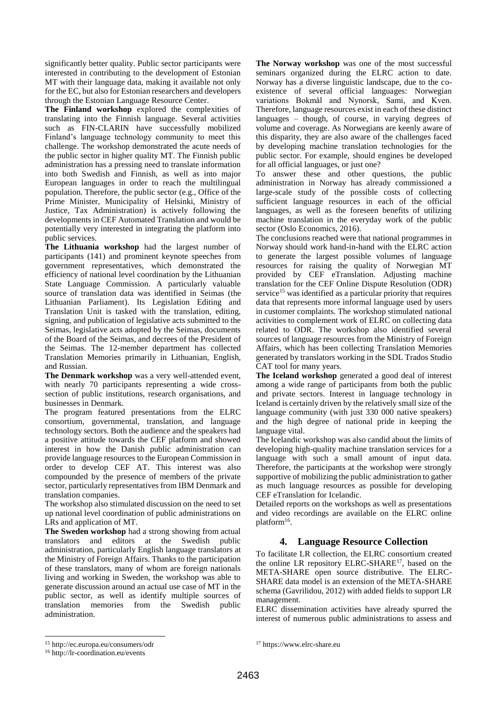significantly better quality. Public sector participants were interested in contributing to the development of Estonian MT with their language data, making it available not only for the EC, but also for Estonian researchers and developers through the Estonian Language Resource Center.

**The Finland workshop** explored the complexities of translating into the Finnish language. Several activities such as FIN-CLARIN have successfully mobilized Finland's language technology community to meet this challenge. The workshop demonstrated the acute needs of the public sector in higher quality MT. The Finnish public administration has a pressing need to translate information into both Swedish and Finnish, as well as into major European languages in order to reach the multilingual population. Therefore, the public sector (e.g., Office of the Prime Minister, Municipality of Helsinki, Ministry of Justice, Tax Administration) is actively following the developments in CEF Automated Translation and would be potentially very interested in integrating the platform into public services.

**The Lithuania workshop** had the largest number of participants (141) and prominent keynote speeches from government representatives, which demonstrated the efficiency of national level coordination by the Lithuanian State Language Commission. A particularly valuable source of translation data was identified in Seimas (the Lithuanian Parliament). Its Legislation Editing and Translation Unit is tasked with the translation, editing, signing, and publication of legislative acts submitted to the Seimas, legislative acts adopted by the Seimas, documents of the Board of the Seimas, and decrees of the President of the Seimas. The 12-member department has collected Translation Memories primarily in Lithuanian, English, and Russian.

**The Denmark workshop** was a very well-attended event, with nearly 70 participants representing a wide crosssection of public institutions, research organisations, and businesses in Denmark.

The program featured presentations from the ELRC consortium, governmental, translation, and language technology sectors. Both the audience and the speakers had a positive attitude towards the CEF platform and showed interest in how the Danish public administration can provide language resources to the European Commission in order to develop CEF AT. This interest was also compounded by the presence of members of the private sector, particularly representatives from IBM Denmark and translation companies.

The workshop also stimulated discussion on the need to set up national level coordination of public administrations on LRs and application of MT.

**The Sweden workshop** had a strong showing from actual translators and editors at the Swedish public administration, particularly English language translators at the Ministry of Foreign Affairs. Thanks to the participation of these translators, many of whom are foreign nationals living and working in Sweden, the workshop was able to generate discussion around an actual use case of MT in the public sector, as well as identify multiple sources of translation memories from the Swedish public administration.

**The Norway workshop** was one of the most successful seminars organized during the ELRC action to date. Norway has a diverse linguistic landscape, due to the coexistence of several official languages: Norwegian variations Bokmål and Nynorsk, Sami, and Kven. Therefore, language resources exist in each of these distinct languages – though, of course, in varying degrees of volume and coverage. As Norwegians are keenly aware of this disparity, they are also aware of the challenges faced by developing machine translation technologies for the public sector. For example, should engines be developed for all official languages, or just one?

To answer these and other questions, the public administration in Norway has already commissioned a large-scale study of the possible costs of collecting sufficient language resources in each of the official languages, as well as the foreseen benefits of utilizing machine translation in the everyday work of the public sector (Oslo Economics, 2016).

The conclusions reached were that national programmes in Norway should work hand-in-hand with the ELRC action to generate the largest possible volumes of language resources for raising the quality of Norwegian MT provided by CEF eTranslation. Adjusting machine translation for the CEF Online Dispute Resolution (ODR) service<sup>15</sup> was identified as a particular priority that requires data that represents more informal language used by users in customer complaints. The workshop stimulated national activities to complement work of ELRC on collecting data related to ODR. The workshop also identified several sources of language resources from the Ministry of Foreign Affairs, which has been collecting Translation Memories generated by translators working in the SDL Trados Studio CAT tool for many years.

**The Iceland workshop** generated a good deal of interest among a wide range of participants from both the public and private sectors. Interest in language technology in Iceland is certainly driven by the relatively small size of the language community (with just 330 000 native speakers) and the high degree of national pride in keeping the language vital.

The Icelandic workshop was also candid about the limits of developing high-quality machine translation services for a language with such a small amount of input data. Therefore, the participants at the workshop were strongly supportive of mobilizing the public administration to gather as much language resources as possible for developing CEF eTranslation for Icelandic.

Detailed reports on the workshops as well as presentations and video recordings are available on the ELRC online platform<sup>16</sup>.

# **4. Language Resource Collection**

To facilitate LR collection, the ELRC consortium created the online LR repository ELRC-SHARE<sup>17</sup>, based on the META-SHARE open source distributive. The ELRC-SHARE data model is an extension of the META-SHARE schema (Gavrilidou, 2012) with added fields to support LR management.

ELRC dissemination activities have already spurred the interest of numerous public administrations to assess and

l <sup>15</sup> http://ec.europa.eu/consumers/odr

<sup>16</sup> http://lr-coordination.eu/events

<sup>17</sup> https://www.elrc-share.eu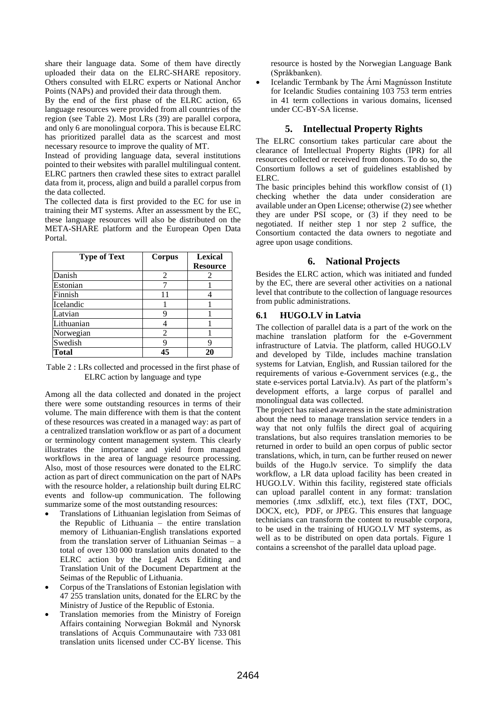share their language data. Some of them have directly uploaded their data on the ELRC-SHARE repository. Others consulted with ELRC experts or National Anchor Points (NAPs) and provided their data through them.

By the end of the first phase of the ELRC action, 65 language resources were provided from all countries of the region (see [Table 2\)](#page-3-1). Most LRs (39) are parallel corpora, and only 6 are monolingual corpora. This is because ELRC has prioritized parallel data as the scarcest and most necessary resource to improve the quality of MT.

Instead of providing language data, several institutions pointed to their websites with parallel multilingual content. ELRC partners then crawled these sites to extract parallel data from it, process, align and build a parallel corpus from the data collected.

The collected data is first provided to the EC for use in training their MT systems. After an assessment by the EC, these language resources will also be distributed on the META-SHARE platform and the European Open Data Portal.

| <b>Type of Text</b> | Corpus | <b>Lexical</b>  |
|---------------------|--------|-----------------|
|                     |        | <b>Resource</b> |
| Danish              | 2      |                 |
| Estonian            |        |                 |
| Finnish             | 11     |                 |
| Icelandic           |        |                 |
| Latvian             |        |                 |
| Lithuanian          |        |                 |
| Norwegian           | 2      |                 |
| Swedish             |        |                 |
| <b>Total</b>        |        |                 |

<span id="page-3-1"></span>Table 2 : LRs collected and processed in the first phase of ELRC action by language and type

Among all the data collected and donated in the project there were some outstanding resources in terms of their volume. The main difference with them is that the content of these resources was created in a managed way: as part of a centralized translation workflow or as part of a document or terminology content management system. This clearly illustrates the importance and yield from managed workflows in the area of language resource processing. Also, most of those resources were donated to the ELRC action as part of direct communication on the part of NAPs with the resource holder, a relationship built during ELRC events and follow-up communication. The following summarize some of the most outstanding resources:

- Translations of Lithuanian legislation from Seimas of the Republic of Lithuania – the entire translation memory of Lithuanian-English translations exported from the translation server of Lithuanian Seimas – a total of over 130 000 translation units donated to the ELRC action by the Legal Acts Editing and Translation Unit of the Document Department at the Seimas of the Republic of Lithuania.
- Corpus of the Translations of Estonian legislation with 47 255 translation units, donated for the ELRC by the Ministry of Justice of the Republic of Estonia.
- Translation memories from the Ministry of Foreign Affairs containing Norwegian Bokmål and Nynorsk translations of Acquis Communautaire with 733 081 translation units licensed under CC-BY license. This

resource is hosted by the Norwegian Language Bank (Språkbanken).

• Icelandic Termbank by The Árni Magnússon Institute for Icelandic Studies containing 103 753 term entries in 41 term collections in various domains, licensed under CC-BY-SA license.

## **5. Intellectual Property Rights**

The ELRC consortium takes particular care about the clearance of Intellectual Property Rights (IPR) for all resources collected or received from donors. To do so, the Consortium follows a set of guidelines established by ELRC.

The basic principles behind this workflow consist of (1) checking whether the data under consideration are available under an Open License; otherwise (2) see whether they are under PSI scope, or (3) if they need to be negotiated. If neither step 1 nor step  $2$  suffice, the Consortium contacted the data owners to negotiate and agree upon usage conditions.

## **6. National Projects**

Besides the ELRC action, which was initiated and funded by the EC, there are several other activities on a national level that contribute to the collection of language resources from public administrations.

#### <span id="page-3-0"></span>**6.1 HUGO.LV in Latvia**

The collection of parallel data is a part of the work on the machine translation platform for the e-Government infrastructure of Latvia. The platform, called HUGO.LV and developed by Tilde, includes machine translation systems for Latvian, English, and Russian tailored for the requirements of various e-Government services (e.g., the state e-services portal Latvia.lv). As part of the platform's development efforts, a large corpus of parallel and monolingual data was collected.

The project has raised awareness in the state administration about the need to manage translation service tenders in a way that not only fulfils the direct goal of acquiring translations, but also requires translation memories to be returned in order to build an open corpus of public sector translations, which, in turn, can be further reused on newer builds of the Hugo.lv service. To simplify the data workflow, a LR data upload facility has been created in HUGO.LV. Within this facility, registered state officials can upload parallel content in any format: translation memories (.tmx .sdlxliff, etc.), text files (TXT, DOC, DOCX, etc), PDF, or JPEG. This ensures that language technicians can transform the content to reusable corpora, to be used in the training of HUGO.LV MT systems, as well as to be distributed on open data portals. [Figure 1](#page-4-0) contains a screenshot of the parallel data upload page.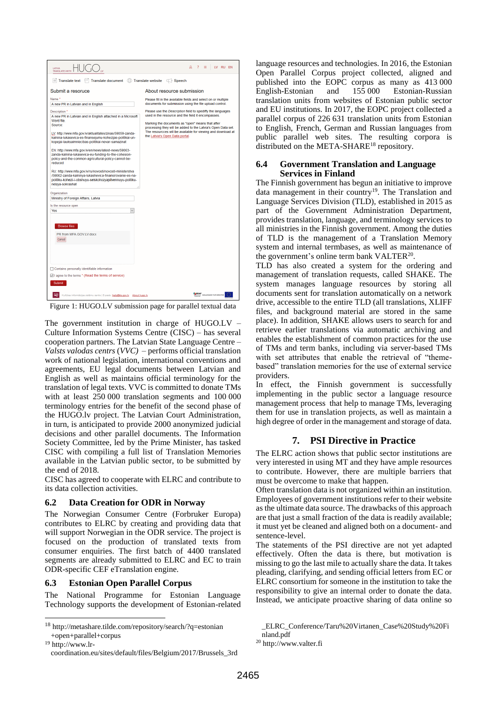

<span id="page-4-0"></span>Figure 1: HUGO.LV submission page for parallel textual data

The government institution in charge of HUGO.LV – Culture Information Systems Centre (CISC) – has several cooperation partners. The Latvian State Language Centre – *Valsts valodas centrs* (*VVC)* – performs official translation work of national legislation, international conventions and agreements, EU legal documents between Latvian and English as well as maintains official terminology for the translation of legal texts. VVC is committed to donate TMs with at least 250 000 translation segments and 100 000 terminology entries for the benefit of the second phase of the HUGO.lv project. The Latvian Court Administration, in turn, is anticipated to provide 2000 anonymized judicial decisions and other parallel documents. The Information Society Committee, led by the Prime Minister, has tasked CISC with compiling a full list of Translation Memories available in the Latvian public sector, to be submitted by the end of 2018.

CISC has agreed to cooperate with ELRC and contribute to its data collection activities.

#### **6.2 Data Creation for ODR in Norway**

The Norwegian Consumer Centre (Forbruker Europa) contributes to ELRC by creating and providing data that will support Norwegian in the ODR service. The project is focused on the production of translated texts from consumer enquiries. The first batch of 4400 translated segments are already submitted to ELRC and EC to train ODR-specific CEF eTranslation engine.

#### **6.3 Estonian Open Parallel Corpus**

The National Programme for Estonian Language Technology supports the development of Estonian-related

<sup>19</sup> http://www.lrcoordination.eu/sites/default/files/Belgium/2017/Brussels\_3rd

l

language resources and technologies. In 2016, the Estonian Open Parallel Corpus project collected, aligned and published into the EOPC corpus as many as 413 000 English-Estonian and 155 000 Estonian-Russian translation units from websites of Estonian public sector and EU institutions. In 2017, the EOPC project collected a parallel corpus of 226 631 translation units from Estonian to English, French, German and Russian languages from public parallel web sites. The resulting corpora is distributed on the META-SHARE<sup>18</sup> repository.

#### **6.4 Government Translation and Language Services in Finland**

The Finnish government has begun an initiative to improve data management in their country<sup>19</sup>. The Translation and Language Services Division (TLD), established in 2015 as part of the Government Administration Department, provides translation, language, and terminology services to all ministries in the Finnish government. Among the duties of TLD is the management of a Translation Memory system and internal termbases, as well as maintenance of the government's online term bank VALTER<sup>20</sup>.

TLD has also created a system for the ordering and management of translation requests, called SHAKE. The system manages language resources by storing all documents sent for translation automatically on a network drive, accessible to the entire TLD (all translations, XLIFF files, and background material are stored in the same place). In addition, SHAKE allows users to search for and retrieve earlier translations via automatic archiving and enables the establishment of common practices for the use of TMs and term banks, including via server-based TMs with set attributes that enable the retrieval of "themebased" translation memories for the use of external service providers.

In effect, the Finnish government is successfully implementing in the public sector a language resource management process that help to manage TMs, leveraging them for use in translation projects, as well as maintain a high degree of order in the management and storage of data.

# **7. PSI Directive in Practice**

The ELRC action shows that public sector institutions are very interested in using MT and they have ample resources to contribute. However, there are multiple barriers that must be overcome to make that happen.

Often translation data is not organized within an institution. Employees of government institutions refer to their website as the ultimate data source. The drawbacks of this approach are that just a small fraction of the data is readily available; it must yet be cleaned and aligned both on a document- and sentence-level.

The statements of the PSI directive are not yet adapted effectively. Often the data is there, but motivation is missing to go the last mile to actually share the data. It takes pleading, clarifying, and sending official letters from EC or ELRC consortium for someone in the institution to take the responsibility to give an internal order to donate the data. Instead, we anticipate proactive sharing of data online so

<sup>18</sup> http://metashare.tilde.com/repository/search/?q=estonian +open+parallel+corpus

\_ELRC\_Conference/Taru%20Virtanen\_Case%20Study%20Fi nland.pdf

<sup>20</sup> http://www.valter.fi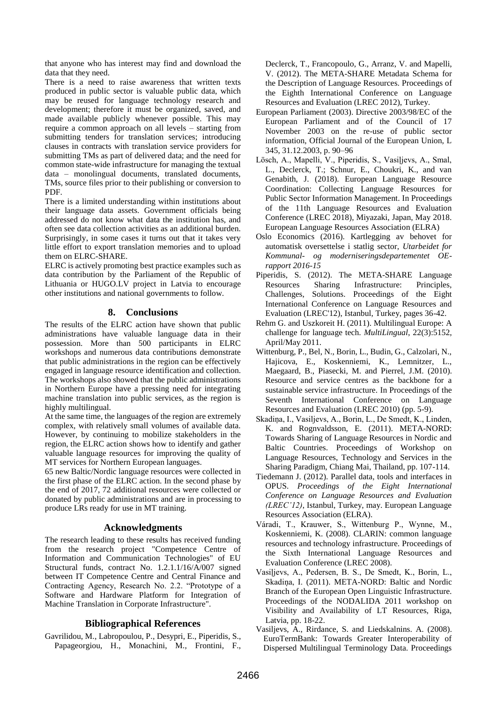that anyone who has interest may find and download the data that they need.

There is a need to raise awareness that written texts produced in public sector is valuable public data, which may be reused for language technology research and development; therefore it must be organized, saved, and made available publicly whenever possible. This may require a common approach on all levels – starting from submitting tenders for translation services; introducing clauses in contracts with translation service providers for submitting TMs as part of delivered data; and the need for common state-wide infrastructure for managing the textual data – monolingual documents, translated documents, TMs, source files prior to their publishing or conversion to PDF.

There is a limited understanding within institutions about their language data assets. Government officials being addressed do not know what data the institution has, and often see data collection activities as an additional burden. Surprisingly, in some cases it turns out that it takes very little effort to export translation memories and to upload them on ELRC-SHARE.

ELRC is actively promoting best practice examples such as data contribution by the Parliament of the Republic of Lithuania or HUGO.LV project in Latvia to encourage other institutions and national governments to follow.

# **8. Conclusions**

The results of the ELRC action have shown that public administrations have valuable language data in their possession. More than 500 participants in ELRC workshops and numerous data contributions demonstrate that public administrations in the region can be effectively engaged in language resource identification and collection. The workshops also showed that the public administrations in Northern Europe have a pressing need for integrating machine translation into public services, as the region is highly multilingual.

At the same time, the languages of the region are extremely complex, with relatively small volumes of available data. However, by continuing to mobilize stakeholders in the region, the ELRC action shows how to identify and gather valuable language resources for improving the quality of MT services for Northern European languages.

65 new Baltic/Nordic language resources were collected in the first phase of the ELRC action. In the second phase by the end of 2017, 72 additional resources were collected or donated by public administrations and are in processing to produce LRs ready for use in MT training.

# **Acknowledgments**

The research leading to these results has received funding from the research project "Competence Centre of Information and Communication Technologies" of EU Structural funds, contract No. 1.2.1.1/16/A/007 signed between IT Competence Centre and Central Finance and Contracting Agency, Research No. 2.2. "Prototype of a Software and Hardware Platform for Integration of Machine Translation in Corporate Infrastructure".

# **Bibliographical References**

Gavrilidou, M., Labropoulou, P., Desypri, E., Piperidis, S., Papageorgiou, H., Monachini, M., Frontini, F., Declerck, T., Francopoulo, G., Arranz, V. and Mapelli, V. (2012). The META-SHARE Metadata Schema for the Description of Language Resources. Proceedings of the Eighth International Conference on Language Resources and Evaluation (LREC 2012), Turkey.

- European Parliament (2003). Directive 2003/98/EC of the European Parliament and of the Council of 17 November 2003 on the re-use of public sector information, Official Journal of the European Union, L 345, 31.12.2003, p. 90–96
- Lösch, A., Mapelli, V., Piperidis, S., Vasiļjevs, A., Smal, L., Declerck, T.; Schnur, E., Choukri, K., and van Genabith, J. (2018). European Language Resource Coordination: Collecting Language Resources for Public Sector Information Management. In Proceedings of the 11th Language Resources and Evaluation Conference (LREC 2018), Miyazaki, Japan, May 2018. European Language Resources Association (ELRA)
- Oslo Economics (2016). Kartlegging av behovet for automatisk oversettelse i statlig sector, *Utarbeidet for Kommunal- og moderniseringsdepartementet OErapport 2016-15*
- Piperidis, S. (2012). The META-SHARE Language Resources Sharing Infrastructure: Principles, Challenges, Solutions. Proceedings of the Eight International Conference on Language Resources and Evaluation (LREC'12), Istanbul, Turkey, pages 36-42.
- Rehm G. and Uszkoreit H. (2011). Multilingual Europe: A challenge for language tech. *MultiLingual*, 22(3):5152, April/May 2011.
- Wittenburg, P., Bel, N., Borin, L., Budin, G., Calzolari, N., Hajicova, E., Koskenniemi, K., Lemnitzer, L., Maegaard, B., Piasecki, M. and Pierrel, J.M. (2010). Resource and service centres as the backbone for a sustainable service infrastructure. In Proceedings of the Seventh International Conference on Language Resources and Evaluation (LREC 2010) (pp. 5-9).
- Skadiņa, I., Vasiljevs, A., Borin, L., De Smedt, K., Linden, K. and Rognvaldsson, E. (2011). META-NORD: Towards Sharing of Language Resources in Nordic and Baltic Countries. Proceedings of Workshop on Language Resources, Technology and Services in the Sharing Paradigm, Chiang Mai, Thailand, pp. 107-114.
- Tiedemann J. (2012). Parallel data, tools and interfaces in OPUS. *Proceedings of the Eight International Conference on Language Resources and Evaluation (LREC'12)*, Istanbul, Turkey, may. European Language Resources Association (ELRA).
- Váradi, T., Krauwer, S., Wittenburg P., Wynne, M., Koskenniemi, K. (2008). CLARIN: common language resources and technology infrastructure. Proceedings of the Sixth International Language Resources and Evaluation Conference (LREC 2008).
- Vasiļjevs, A., Pedersen, B. S., De Smedt, K., Borin, L., Skadiņa, I. (2011). META-NORD: Baltic and Nordic Branch of the European Open Linguistic Infrastructure. Proceedings of the NODALIDA 2011 workshop on Visibility and Availability of LT Resources, Riga, Latvia, pp. 18-22.
- Vasiljevs, A., Rirdance, S. and Liedskalnins. A. (2008). EuroTermBank: Towards Greater Interoperability of Dispersed Multilingual Terminology Data. Proceedings